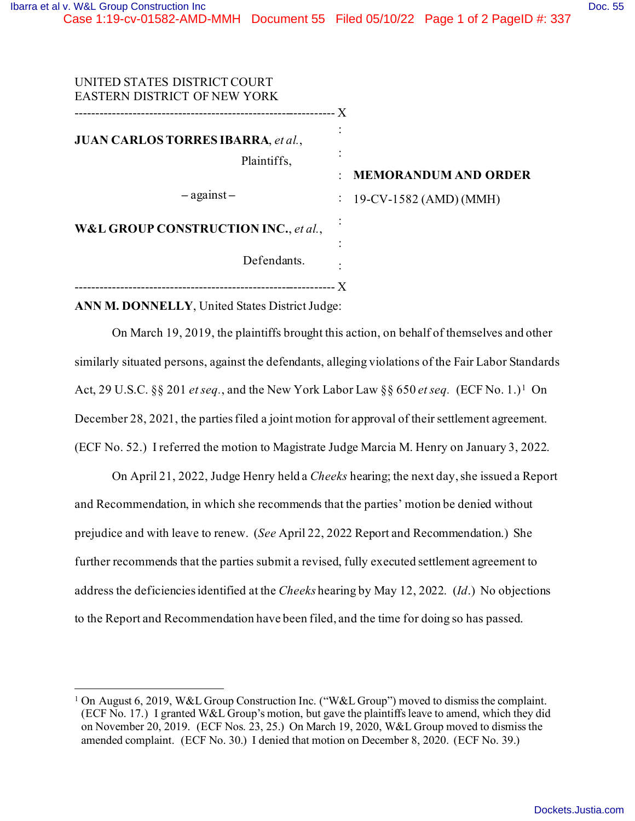| UNITED STATES DISTRICT COURT<br><b>EASTERN DISTRICT OF NEW YORK</b> |                                                            |
|---------------------------------------------------------------------|------------------------------------------------------------|
| <b>JUAN CARLOS TORRES IBARRA, et al.,</b><br>Plaintiffs,            | . X<br><b>MEMORANDUM AND ORDER</b><br>$\ddot{\phantom{a}}$ |
| $-$ against $-$                                                     | : $19$ -CV-1582 (AMD) (MMH)                                |
| W&L GROUP CONSTRUCTION INC., et al.,                                |                                                            |
| Defendants.                                                         | ٠                                                          |

**ANN M. DONNELLY**, United States District Judge:

On March 19, 2019, the plaintiffs brought this action, on behalf of themselves and other similarly situated persons, against the defendants, alleging violations of the Fair Labor Standards Act, 29 U.S.C. §§ 201 *et seq.*, and the New York Labor Law §§ 650 *et seq.* (ECF No. 1.)<sup>1</sup> On December 28, 2021, the parties filed a joint motion for approval of their settlement agreement. (ECF No. 52.) I referred the motion to Magistrate Judge Marcia M. Henry on January 3, 2022.

On April 21, 2022, Judge Henry held a *Cheeks* hearing; the next day, she issued a Report and Recommendation, in which she recommends that the parties' motion be denied without prejudice and with leave to renew. (*See* April 22, 2022 Report and Recommendation.) She further recommends that the parties submit a revised, fully executed settlement agreement to address the deficiencies identified at the *Cheeks* hearing by May 12, 2022. (*Id*.) No objections to the Report and Recommendation have been filed, and the time for doing so has passed.

<sup>1</sup> On August 6, 2019, W&L Group Construction Inc. ("W&L Group") moved to dismiss the complaint. (ECF No. 17.) I granted W&L Group's motion, but gave the plaintiffs leave to amend, which they did on November 20, 2019. (ECF Nos. 23, 25.) On March 19, 2020, W&L Group moved to dismissthe amended complaint. (ECF No. 30.) I denied that motion on December 8, 2020. (ECF No. 39.)